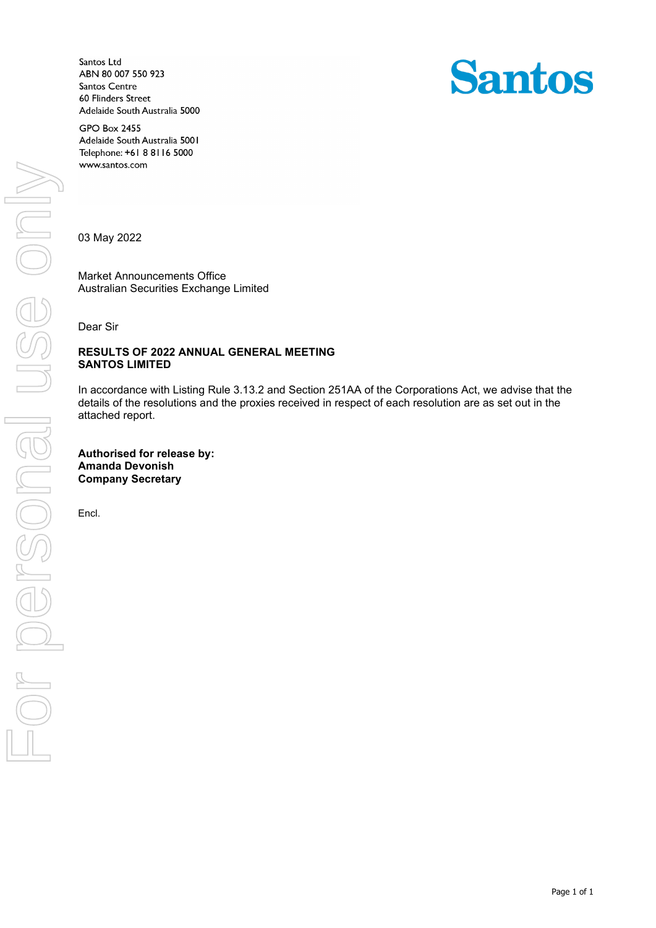Santos Ltd ABN 80 007 550 923 Santos Centre 60 Flinders Street Adelaide South Australia 5000



**GPO Box 2455** Adelaide South Australia 5001 Telephone: +61 8 8116 5000 www.santos.com

03 May 2022

Market Announcements Office Australian Securities Exchange Limited

Dear Sir

## **RESULTS OF 2022 ANNUAL GENERAL MEETING SANTOS LIMITED**

In accordance with Listing Rule 3.13.2 and Section 251AA of the Corporations Act, we advise that the details of the resolutions and the proxies received in respect of each resolution are as set out in the attached report.

**Authorised for release by: Amanda Devonish Company Secretary**

Encl.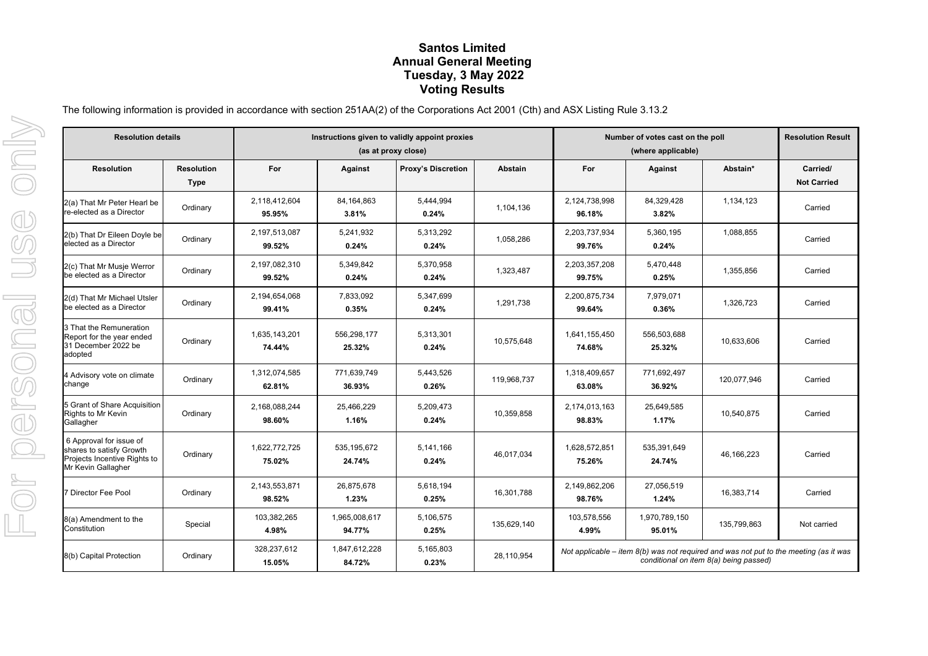## **Santos Limited Annual General Meeting Tuesday, 3 May 2022 Voting Results**

The following information is provided in accordance with section 251AA(2) of the Corporations Act 2001 (Cth) and ASX Listing Rule 3.13.2

| <b>Resolution details</b>                                                                                 |                                  | Instructions given to validly appoint proxies<br>(as at proxy close) |                         |                           |                | Number of votes cast on the poll<br>(where applicable)                                                                            |                         |              | <b>Resolution Result</b>       |
|-----------------------------------------------------------------------------------------------------------|----------------------------------|----------------------------------------------------------------------|-------------------------|---------------------------|----------------|-----------------------------------------------------------------------------------------------------------------------------------|-------------------------|--------------|--------------------------------|
| <b>Resolution</b>                                                                                         | <b>Resolution</b><br><b>Type</b> | For                                                                  | Against                 | <b>Proxy's Discretion</b> | <b>Abstain</b> | For                                                                                                                               | Against                 | Abstain*     | Carried/<br><b>Not Carried</b> |
| 2(a) That Mr Peter Hearl be<br>re-elected as a Director                                                   | Ordinary                         | 2.118.412.604<br>95.95%                                              | 84,164,863<br>3.81%     | 5.444.994<br>0.24%        | 1,104,136      | 2.124.738.998<br>96.18%                                                                                                           | 84,329,428<br>3.82%     | 1,134,123    | Carried                        |
| 2(b) That Dr Eileen Doyle be<br>elected as a Director                                                     | Ordinary                         | 2,197,513,087<br>99.52%                                              | 5,241,932<br>0.24%      | 5,313,292<br>0.24%        | 1,058,286      | 2,203,737,934<br>99.76%                                                                                                           | 5,360,195<br>0.24%      | 1,088,855    | Carried                        |
| 2(c) That Mr Musje Werror<br>be elected as a Director                                                     | Ordinary                         | 2,197,082,310<br>99.52%                                              | 5,349,842<br>0.24%      | 5,370,958<br>0.24%        | 1,323,487      | 2,203,357,208<br>99.75%                                                                                                           | 5,470,448<br>0.25%      | 1,355,856    | Carried                        |
| 2(d) That Mr Michael Utsler<br>be elected as a Director                                                   | Ordinary                         | 2,194,654,068<br>99.41%                                              | 7,833,092<br>0.35%      | 5,347,699<br>0.24%        | 1.291.738      | 2,200,875,734<br>99.64%                                                                                                           | 7,979,071<br>0.36%      | 1,326,723    | Carried                        |
| 3 That the Remuneration<br>Report for the year ended<br>31 December 2022 be<br>adopted                    | Ordinary                         | 1,635,143,201<br>74.44%                                              | 556,298,177<br>25.32%   | 5,313,301<br>0.24%        | 10,575,648     | 1,641,155,450<br>74.68%                                                                                                           | 556,503,688<br>25.32%   | 10,633,606   | Carried                        |
| 4 Advisory vote on climate<br>change                                                                      | Ordinary                         | 1,312,074,585<br>62.81%                                              | 771,639,749<br>36.93%   | 5,443,526<br>0.26%        | 119,968,737    | 1,318,409,657<br>63.08%                                                                                                           | 771,692,497<br>36.92%   | 120,077,946  | Carried                        |
| 5 Grant of Share Acquisition<br>Rights to Mr Kevin<br>Gallagher                                           | Ordinary                         | 2,168,088,244<br>98.60%                                              | 25,466,229<br>1.16%     | 5,209,473<br>0.24%        | 10,359,858     | 2,174,013,163<br>98.83%                                                                                                           | 25,649,585<br>1.17%     | 10,540,875   | Carried                        |
| 6 Approval for issue of<br>shares to satisfy Growth<br>Projects Incentive Rights to<br>Mr Kevin Gallagher | Ordinary                         | 1,622,772,725<br>75.02%                                              | 535, 195, 672<br>24.74% | 5,141,166<br>0.24%        | 46,017,034     | 1,628,572,851<br>75.26%                                                                                                           | 535,391,649<br>24.74%   | 46, 166, 223 | Carried                        |
| Director Fee Pool                                                                                         | Ordinary                         | 2,143,553,871<br>98.52%                                              | 26,875,678<br>1.23%     | 5,618,194<br>0.25%        | 16,301,788     | 2,149,862,206<br>98.76%                                                                                                           | 27,056,519<br>1.24%     | 16,383,714   | Carried                        |
| 8(a) Amendment to the<br>Constitution                                                                     | Special                          | 103,382,265<br>4.98%                                                 | 1,965,008,617<br>94.77% | 5,106,575<br>0.25%        | 135,629,140    | 103,578,556<br>4.99%                                                                                                              | 1,970,789,150<br>95.01% | 135,799,863  | Not carried                    |
| 8(b) Capital Protection                                                                                   | Ordinary                         | 328,237,612<br>15.05%                                                | 1,847,612,228<br>84.72% | 5,165,803<br>0.23%        | 28.110.954     | Not applicable – item $8(b)$ was not required and was not put to the meeting (as it was<br>conditional on item 8(a) being passed) |                         |              |                                |